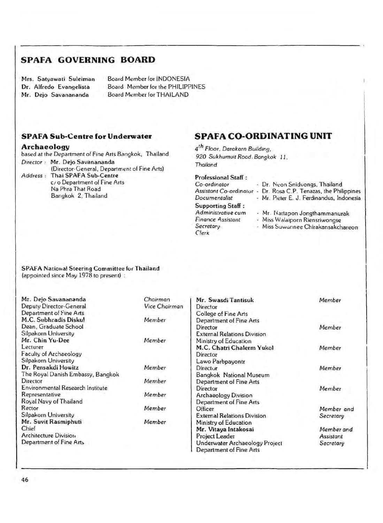## **SPAFA GOVERNING BOARD**

Mrs. Satyawati Suleiman Dr. Alfredo Evangelista Mr. Dejo Savanananda

Board Member for INDONESIA Board Member for the PHILIPPINES Board Member for THAILAND

## **SPAFA Sub-Centre for Underwater**

#### **Archaeology**

based at the Department of Fine Arts Bangkok, Thailand *Director* .- Mr. Dejo Savanananda

(Director-General, Department of Fine Arts) *Address* . Thai SPAFA Sub-Centre c/ o Department of Fine Arts Na Phra That Road Bangkok 2, Thailand

# **SPAFA CO-ORDINATING UNIT**

**4** *Floor. Darakarn Building, 920 Sukhumvit Road, Bangkok 11, Thailand*

Professional Staff :

| Co-ordinator             |   | - Dr. Neon Snidvongs, Thailand            |
|--------------------------|---|-------------------------------------------|
| Assistant Co-ordinatur   | ٠ | Dr. Rosa C.P. Tenazas, the Philippines    |
| Documentalist            |   | - Mr. Pieter E. J. Ferdinandus, Indonesia |
| <b>Supporting Staff:</b> |   |                                           |
| Administrative cum       |   | - Mr. Nattapon Jongthammanurak            |
| <b>Finance Assistant</b> |   | - Miss Walaiporn Riensriwongse            |
| Secretary.               |   | - Miss Suwannee Chirakansakchareon        |
| <b>Clerk</b>             |   |                                           |

#### SPAFA National Steering Committee for Thailand (appointed since May 1978 to present) :

| Mr. Dejo Savanananda              | Chairman      | Mr. Swasdi Tantisuk                | Member     |
|-----------------------------------|---------------|------------------------------------|------------|
| Deputy Director-General           | Vice Chairman | Director                           |            |
| Department of Fine Arts           |               | College of Fine Arts               |            |
| M.C. Subhradis Disku!             | Member        | Department of Fine Arts            |            |
| Dean, Graduate School             |               | Director                           | Member     |
| Silpakorn University              |               | <b>External Relations Division</b> |            |
| Mr. Chin Yu-Dee                   | Member        | Ministry of Education              |            |
| Lecturer                          |               | M.C. Chatri Chalerm Yukol          | Member     |
| Faculty of Archaeology            |               | Director                           |            |
| Silpakorn University              |               | Lawo Parbpayontr                   |            |
| Dr. Pensakdi Howitz               | Member        | Directur                           | Member     |
| The Royal Danish Embassy, Bangkok |               | Bangkok National Museum            |            |
| Director                          | Member        | Department of Fine Arts            |            |
| Environmental Research Institute  |               | Director                           | Member     |
| Representative                    | Member        | Archaeology Division               |            |
| Royal Navy of Thailand            |               | Department of Fine Arts            |            |
| Rector                            | Member        | Officer                            | Member and |
| Silpakorn University              |               | <b>External Relations Division</b> | Secretary  |
| Mr. Suvit Rasmiphuti              | Member        | Ministry of Education              |            |
| Chief                             |               | Mr. Vitaya Intakosai               | Member and |
| Architecture Division             |               | Project Leader                     | Assistant  |
| Department of Fine Arts           |               | Underwater Archaeology Project     | Secretary  |
|                                   |               | Department of Fine Arts            |            |